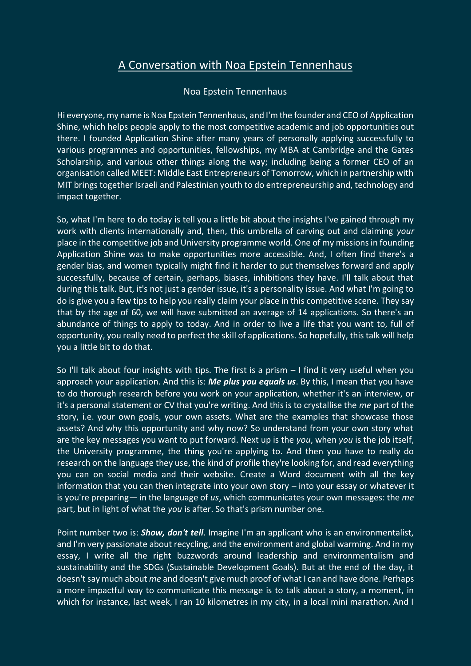## A Conversation with Noa Epstein Tennenhaus

## Noa Epstein Tennenhaus

Hi everyone, my name is Noa Epstein Tennenhaus, and I'm the founder and CEO of Application Shine, which helps people apply to the most competitive academic and job opportunities out there. I founded Application Shine after many years of personally applying successfully to various programmes and opportunities, fellowships, my MBA at Cambridge and the Gates Scholarship, and various other things along the way; including being a former CEO of an organisation called MEET: Middle East Entrepreneurs of Tomorrow, which in partnership with MIT brings together Israeli and Palestinian youth to do entrepreneurship and, technology and impact together.

So, what I'm here to do today is tell you a little bit about the insights I've gained through my work with clients internationally and, then, this umbrella of carving out and claiming *your* place in the competitive job and University programme world. One of my missions in founding Application Shine was to make opportunities more accessible. And, I often find there's a gender bias, and women typically might find it harder to put themselves forward and apply successfully, because of certain, perhaps, biases, inhibitions they have. I'll talk about that during this talk. But, it's not just a gender issue, it's a personality issue. And what I'm going to do is give you a few tips to help you really claim your place in this competitive scene. They say that by the age of 60, we will have submitted an average of 14 applications. So there's an abundance of things to apply to today. And in order to live a life that you want to, full of opportunity, you really need to perfect the skill of applications. So hopefully, this talk will help you a little bit to do that.

So I'll talk about four insights with tips. The first is a prism – I find it very useful when you approach your application. And this is: *Me plus you equals us*. By this, I mean that you have to do thorough research before you work on your application, whether it's an interview, or it's a personal statement or CV that you're writing. And this is to crystallise the *me* part of the story, i.e. your own goals, your own assets. What are the examples that showcase those assets? And why this opportunity and why now? So understand from your own story what are the key messages you want to put forward. Next up is the *you*, when *you* is the job itself, the University programme, the thing you're applying to. And then you have to really do research on the language they use, the kind of profile they're looking for, and read everything you can on social media and their website. Create a Word document with all the key information that you can then integrate into your own story – into your essay or whatever it is you're preparing— in the language of *us*, which communicates your own messages: the *me* part, but in light of what the *you* is after. So that's prism number one.

Point number two is: *Show, don't tell*. Imagine I'm an applicant who is an environmentalist, and I'm very passionate about recycling, and the environment and global warming. And in my essay, I write all the right buzzwords around leadership and environmentalism and sustainability and the SDGs (Sustainable Development Goals). But at the end of the day, it doesn't say much about *me* and doesn't give much proof of what I can and have done. Perhaps a more impactful way to communicate this message is to talk about a story, a moment, in which for instance, last week, I ran 10 kilometres in my city, in a local mini marathon. And I